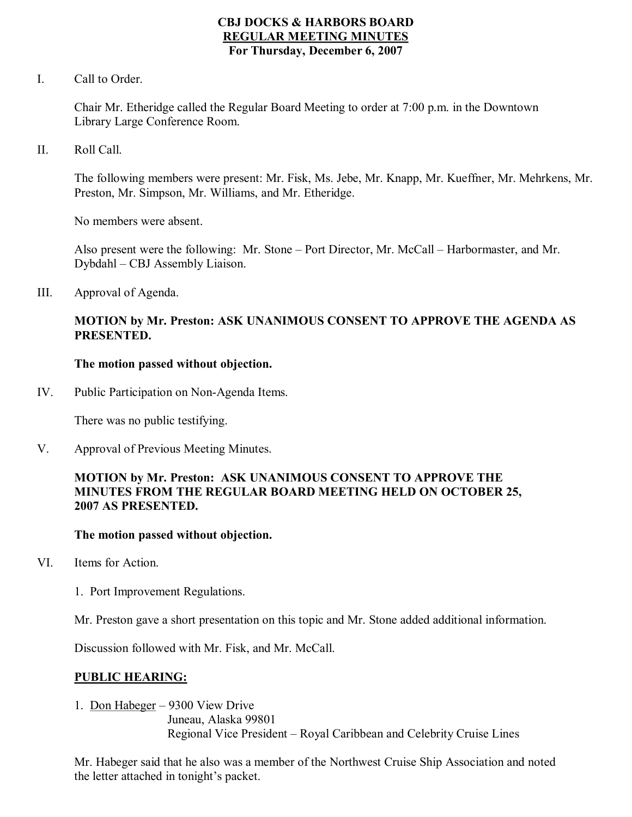## **CBJ DOCKS & HARBORS BOARD REGULAR MEETING MINUTES For Thursday, December 6, 2007**

I. Call to Order.

Chair Mr. Etheridge called the Regular Board Meeting to order at 7:00 p.m. in the Downtown Library Large Conference Room.

II. Roll Call.

The following members were present: Mr. Fisk, Ms. Jebe, Mr. Knapp, Mr. Kueffner, Mr. Mehrkens, Mr. Preston, Mr. Simpson, Mr. Williams, and Mr. Etheridge.

No members were absent.

Also present were the following: Mr. Stone – Port Director, Mr. McCall – Harbormaster, and Mr. Dybdahl – CBJ Assembly Liaison.

III. Approval of Agenda.

## **MOTION by Mr. Preston: ASK UNANIMOUS CONSENT TO APPROVE THE AGENDA AS PRESENTED.**

## **The motion passed without objection.**

IV. Public Participation on Non-Agenda Items.

There was no public testifying.

V. Approval of Previous Meeting Minutes.

## **MOTION by Mr. Preston: ASK UNANIMOUS CONSENT TO APPROVE THE MINUTES FROM THE REGULAR BOARD MEETING HELD ON OCTOBER 25, 2007 AS PRESENTED.**

#### **The motion passed without objection.**

- VI. Items for Action.
	- 1. Port Improvement Regulations.

Mr. Preston gave a short presentation on this topic and Mr. Stone added additional information.

Discussion followed with Mr. Fisk, and Mr. McCall.

## **PUBLIC HEARING:**

1. Don Habeger – 9300 View Drive Juneau, Alaska 99801 Regional Vice President – Royal Caribbean and Celebrity Cruise Lines

Mr. Habeger said that he also was a member of the Northwest Cruise Ship Association and noted the letter attached in tonight's packet.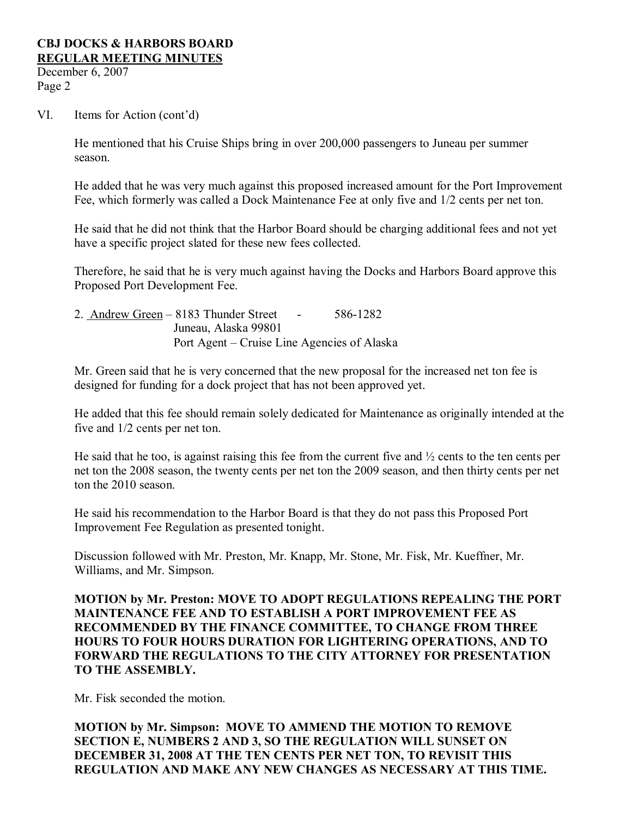December 6, 2007 Page 2

#### VI. Items for Action (cont'd)

He mentioned that his Cruise Ships bring in over 200,000 passengers to Juneau per summer season.

He added that he was very much against this proposed increased amount for the Port Improvement Fee, which formerly was called a Dock Maintenance Fee at only five and 1/2 cents per net ton.

He said that he did not think that the Harbor Board should be charging additional fees and not yet have a specific project slated for these new fees collected.

Therefore, he said that he is very much against having the Docks and Harbors Board approve this Proposed Port Development Fee.

|                      | 2. Andrew Green – 8183 Thunder Street       | $\sim$ $-$ | 586-1282 |  |  |
|----------------------|---------------------------------------------|------------|----------|--|--|
| Juneau, Alaska 99801 |                                             |            |          |  |  |
|                      | Port Agent – Cruise Line Agencies of Alaska |            |          |  |  |

Mr. Green said that he is very concerned that the new proposal for the increased net ton fee is designed for funding for a dock project that has not been approved yet.

He added that this fee should remain solely dedicated for Maintenance as originally intended at the five and 1/2 cents per net ton.

He said that he too, is against raising this fee from the current five and  $\frac{1}{2}$  cents to the ten cents per net ton the 2008 season, the twenty cents per net ton the 2009 season, and then thirty cents per net ton the 2010 season.

He said his recommendation to the Harbor Board is that they do not pass this Proposed Port Improvement Fee Regulation as presented tonight.

Discussion followed with Mr. Preston, Mr. Knapp, Mr. Stone, Mr. Fisk, Mr. Kueffner, Mr. Williams, and Mr. Simpson.

**MOTION by Mr. Preston: MOVE TO ADOPT REGULATIONS REPEALING THE PORT MAINTENANCE FEE AND TO ESTABLISH A PORT IMPROVEMENT FEE AS RECOMMENDED BY THE FINANCE COMMITTEE, TO CHANGE FROM THREE HOURS TO FOUR HOURS DURATION FOR LIGHTERING OPERATIONS, AND TO FORWARD THE REGULATIONS TO THE CITY ATTORNEY FOR PRESENTATION TO THE ASSEMBLY.**

Mr. Fisk seconded the motion.

**MOTION by Mr. Simpson: MOVE TO AMMEND THE MOTION TO REMOVE SECTION E, NUMBERS 2 AND 3, SO THE REGULATION WILL SUNSET ON DECEMBER 31, 2008 AT THE TEN CENTS PER NET TON, TO REVISIT THIS REGULATION AND MAKE ANY NEW CHANGES AS NECESSARY AT THIS TIME.**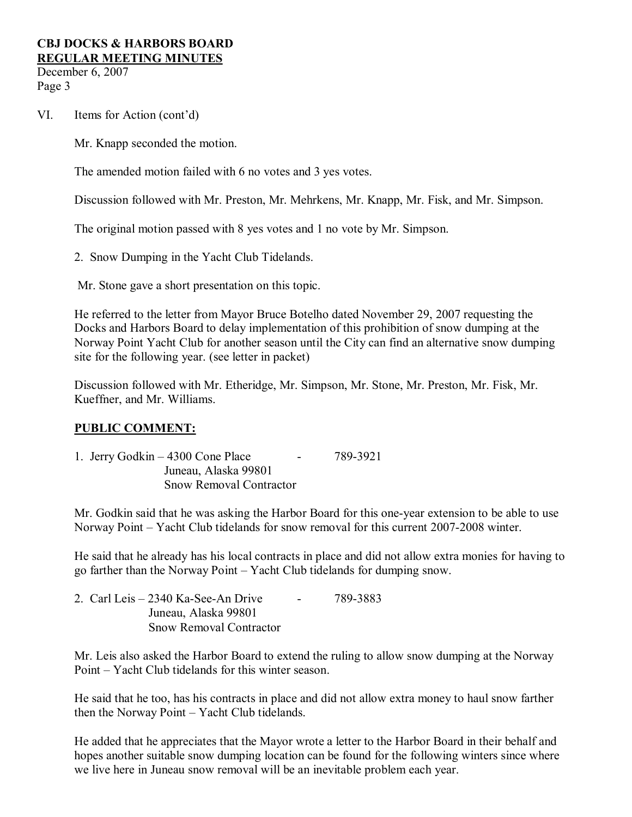December 6, 2007 Page 3

VI. Items for Action (cont'd)

Mr. Knapp seconded the motion.

The amended motion failed with 6 no votes and 3 yes votes.

Discussion followed with Mr. Preston, Mr. Mehrkens, Mr. Knapp, Mr. Fisk, and Mr. Simpson.

The original motion passed with 8 yes votes and 1 no vote by Mr. Simpson.

2. Snow Dumping in the Yacht Club Tidelands.

Mr. Stone gave a short presentation on this topic.

He referred to the letter from Mayor Bruce Botelho dated November 29, 2007 requesting the Docks and Harbors Board to delay implementation of this prohibition of snow dumping at the Norway Point Yacht Club for another season until the City can find an alternative snow dumping site for the following year. (see letter in packet)

Discussion followed with Mr. Etheridge, Mr. Simpson, Mr. Stone, Mr. Preston, Mr. Fisk, Mr. Kueffner, and Mr. Williams.

## **PUBLIC COMMENT:**

| 1. Jerry Godkin $-4300$ Cone Place | $\sim$ | 789-3921 |
|------------------------------------|--------|----------|
| Juneau, Alaska 99801               |        |          |
| <b>Snow Removal Contractor</b>     |        |          |

Mr. Godkin said that he was asking the Harbor Board for this one-year extension to be able to use Norway Point – Yacht Club tidelands for snow removal for this current 2007-2008 winter.

He said that he already has his local contracts in place and did not allow extra monies for having to go farther than the Norway Point – Yacht Club tidelands for dumping snow.

| 2. Carl Leis – 2340 Ka-See-An Drive | $\sim$ 100 $\mu$ | 789-3883 |
|-------------------------------------|------------------|----------|
| Juneau, Alaska 99801                |                  |          |
| <b>Snow Removal Contractor</b>      |                  |          |

Mr. Leis also asked the Harbor Board to extend the ruling to allow snow dumping at the Norway Point – Yacht Club tidelands for this winter season.

He said that he too, has his contracts in place and did not allow extra money to haul snow farther then the Norway Point – Yacht Club tidelands.

He added that he appreciates that the Mayor wrote a letter to the Harbor Board in their behalf and hopes another suitable snow dumping location can be found for the following winters since where we live here in Juneau snow removal will be an inevitable problem each year.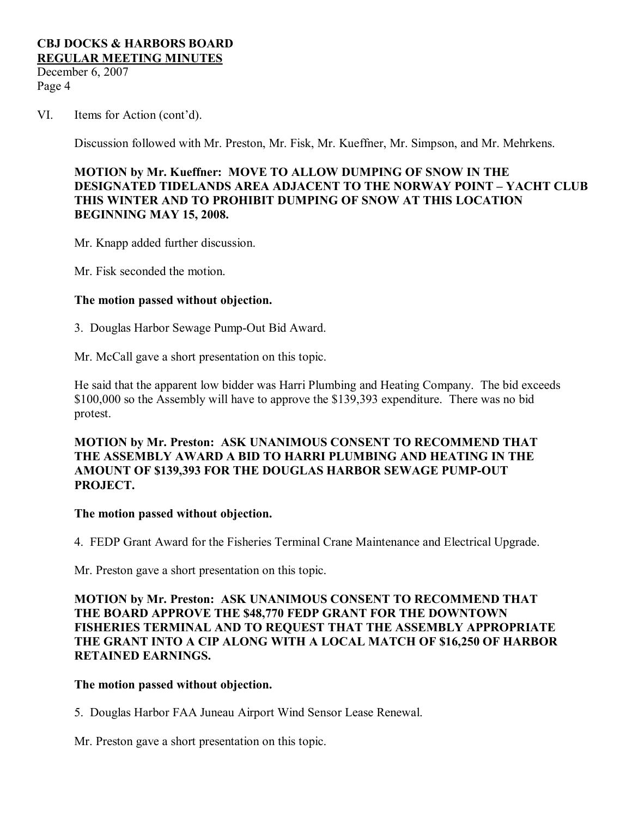December 6, 2007 Page 4

VI. Items for Action (cont'd).

Discussion followed with Mr. Preston, Mr. Fisk, Mr. Kueffner, Mr. Simpson, and Mr. Mehrkens.

### **MOTION by Mr. Kueffner: MOVE TO ALLOW DUMPING OF SNOW IN THE DESIGNATED TIDELANDS AREA ADJACENT TO THE NORWAY POINT – YACHT CLUB THIS WINTER AND TO PROHIBIT DUMPING OF SNOW AT THIS LOCATION BEGINNING MAY 15, 2008.**

Mr. Knapp added further discussion.

Mr. Fisk seconded the motion.

## **The motion passed without objection.**

3. Douglas Harbor Sewage Pump-Out Bid Award.

Mr. McCall gave a short presentation on this topic.

He said that the apparent low bidder was Harri Plumbing and Heating Company. The bid exceeds \$100,000 so the Assembly will have to approve the \$139,393 expenditure. There was no bid protest.

## **MOTION by Mr. Preston: ASK UNANIMOUS CONSENT TO RECOMMEND THAT THE ASSEMBLY AWARD A BID TO HARRI PLUMBING AND HEATING IN THE AMOUNT OF \$139,393 FOR THE DOUGLAS HARBOR SEWAGE PUMPOUT PROJECT.**

#### **The motion passed without objection.**

4. FEDP Grant Award for the Fisheries Terminal Crane Maintenance and Electrical Upgrade.

Mr. Preston gave a short presentation on this topic.

**MOTION by Mr. Preston: ASK UNANIMOUS CONSENT TO RECOMMEND THAT THE BOARD APPROVE THE \$48,770 FEDP GRANT FOR THE DOWNTOWN FISHERIES TERMINAL AND TO REQUEST THAT THE ASSEMBLY APPROPRIATE THE GRANT INTO A CIP ALONG WITH A LOCAL MATCH OF \$16,250 OF HARBOR RETAINED EARNINGS.**

#### **The motion passed without objection.**

5. Douglas Harbor FAA Juneau Airport Wind Sensor Lease Renewal.

Mr. Preston gave a short presentation on this topic.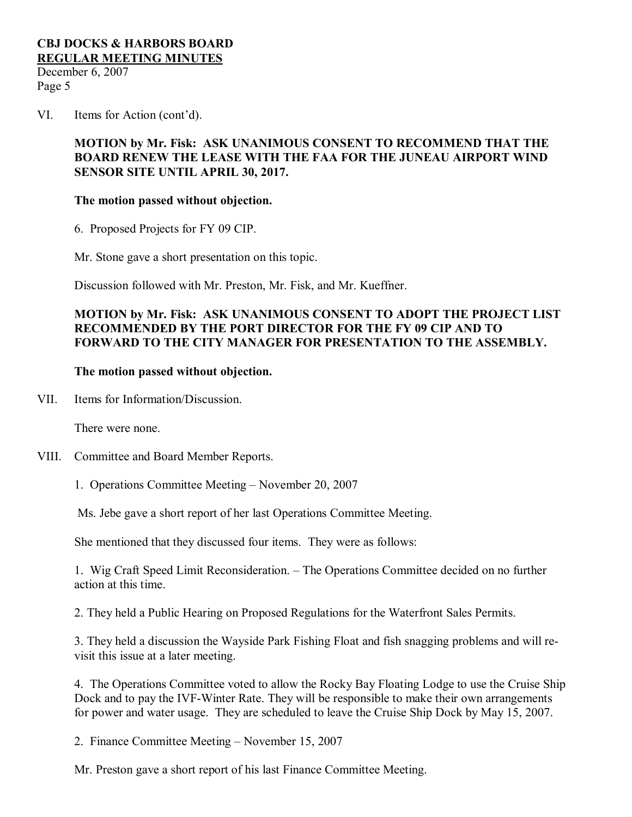December 6, 2007 Page 5

VI. Items for Action (cont'd).

## **MOTION by Mr. Fisk: ASK UNANIMOUS CONSENT TO RECOMMEND THAT THE BOARD RENEW THE LEASE WITH THE FAA FOR THE JUNEAU AIRPORT WIND SENSOR SITE UNTIL APRIL 30, 2017.**

#### **The motion passed without objection.**

6. Proposed Projects for FY 09 CIP.

Mr. Stone gave a short presentation on this topic.

Discussion followed with Mr. Preston, Mr. Fisk, and Mr. Kueffner.

### **MOTION by Mr. Fisk: ASK UNANIMOUS CONSENT TO ADOPT THE PROJECT LIST RECOMMENDED BY THE PORT DIRECTOR FOR THE FY 09 CIP AND TO FORWARD TO THE CITY MANAGER FOR PRESENTATION TO THE ASSEMBLY.**

#### **The motion passed without objection.**

VII. Items for Information/Discussion.

There were none.

- VIII. Committee and Board Member Reports.
	- 1. Operations Committee Meeting November 20, 2007

Ms. Jebe gave a short report of her last Operations Committee Meeting.

She mentioned that they discussed four items. They were as follows:

1. Wig Craft Speed Limit Reconsideration. – The Operations Committee decided on no further action at this time.

2. They held a Public Hearing on Proposed Regulations for the Waterfront Sales Permits.

3. They held a discussion the Wayside Park Fishing Float and fish snagging problems and will re visit this issue at a later meeting.

4. The Operations Committee voted to allow the Rocky Bay Floating Lodge to use the Cruise Ship Dock and to pay the IVF-Winter Rate. They will be responsible to make their own arrangements for power and water usage. They are scheduled to leave the Cruise Ship Dock by May 15, 2007.

2. Finance Committee Meeting – November 15, 2007

Mr. Preston gave a short report of his last Finance Committee Meeting.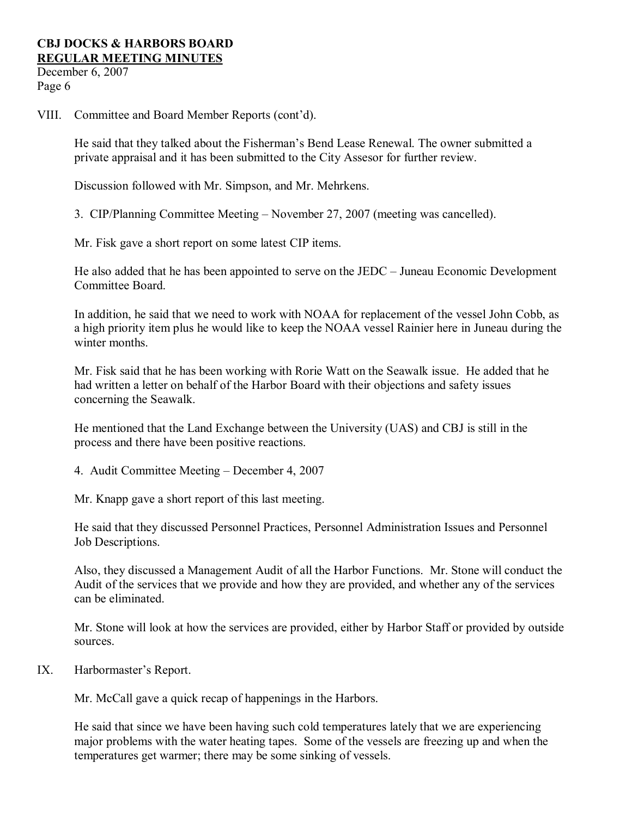December 6, 2007 Page 6

VIII. Committee and Board Member Reports (cont'd).

He said that they talked about the Fisherman's Bend Lease Renewal. The owner submitted a private appraisal and it has been submitted to the City Assesor for further review.

Discussion followed with Mr. Simpson, and Mr. Mehrkens.

3. CIP/Planning Committee Meeting – November 27, 2007 (meeting was cancelled).

Mr. Fisk gave a short report on some latest CIP items.

He also added that he has been appointed to serve on the JEDC – Juneau Economic Development Committee Board.

In addition, he said that we need to work with NOAA for replacement of the vessel John Cobb, as a high priority item plus he would like to keep the NOAA vessel Rainier here in Juneau during the winter months.

Mr. Fisk said that he has been working with Rorie Watt on the Seawalk issue. He added that he had written a letter on behalf of the Harbor Board with their objections and safety issues concerning the Seawalk.

He mentioned that the Land Exchange between the University (UAS) and CBJ is still in the process and there have been positive reactions.

4. Audit Committee Meeting – December 4, 2007

Mr. Knapp gave a short report of this last meeting.

He said that they discussed Personnel Practices, Personnel Administration Issues and Personnel Job Descriptions.

Also, they discussed a Management Audit of all the Harbor Functions. Mr. Stone will conduct the Audit of the services that we provide and how they are provided, and whether any of the services can be eliminated.

Mr. Stone will look at how the services are provided, either by Harbor Staff or provided by outside sources.

IX. Harbormaster's Report.

Mr. McCall gave a quick recap of happenings in the Harbors.

He said that since we have been having such cold temperatures lately that we are experiencing major problems with the water heating tapes. Some of the vessels are freezing up and when the temperatures get warmer; there may be some sinking of vessels.